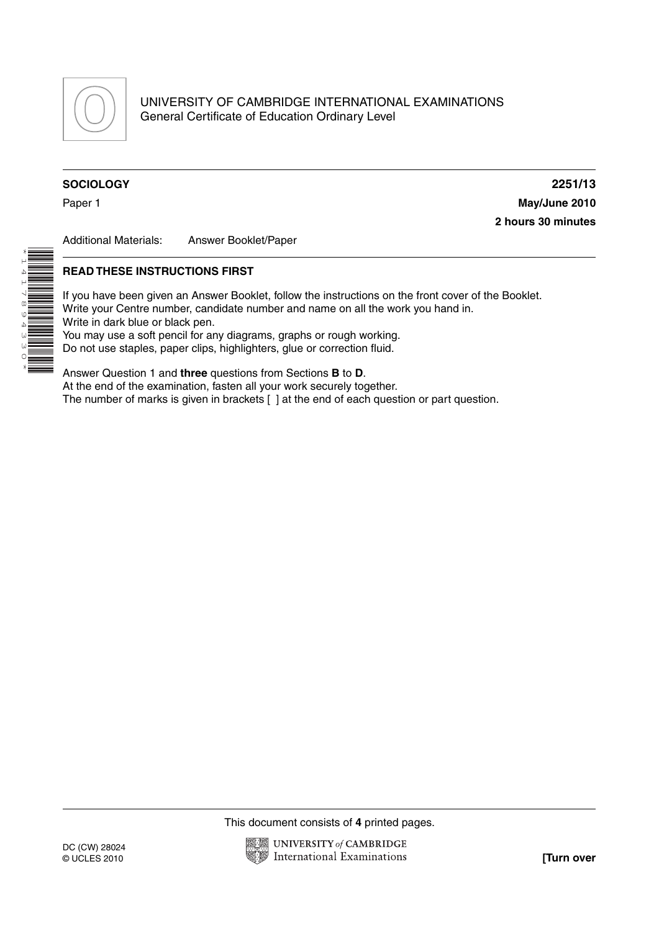

# **SOCIOLOGY 2251/13**

\*141

لہ<br>© 4 W<br>W<br>0 \* Paper 1 **May/June 2010 2 hours 30 minutes**

Additional Materials: Answer Booklet/Paper

## **READ THESE INSTRUCTIONS FIRST**

If you have been given an Answer Booklet, follow the instructions on the front cover of the Booklet. Write your Centre number, candidate number and name on all the work you hand in. Write in dark blue or black pen. You may use a soft pencil for any diagrams, graphs or rough working. Do not use staples, paper clips, highlighters, glue or correction fluid.

Answer Question 1 and **three** questions from Sections **B** to **D**. At the end of the examination, fasten all your work securely together. The number of marks is given in brackets [ ] at the end of each question or part question.

This document consists of **4** printed pages.

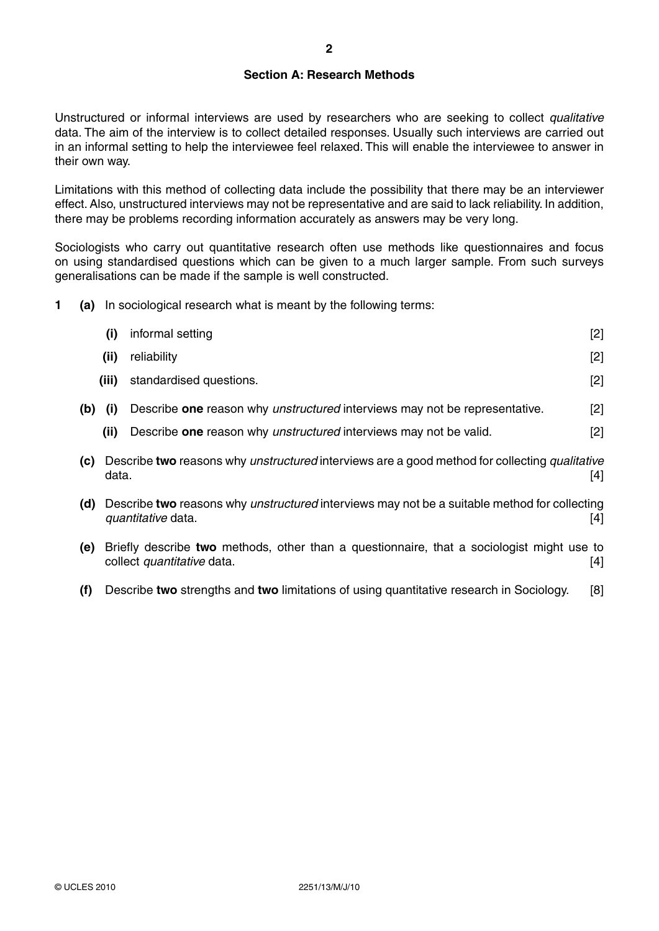## **Section A: Research Methods**

Unstructured or informal interviews are used by researchers who are seeking to collect *qualitative* data. The aim of the interview is to collect detailed responses. Usually such interviews are carried out in an informal setting to help the interviewee feel relaxed. This will enable the interviewee to answer in their own way.

Limitations with this method of collecting data include the possibility that there may be an interviewer effect. Also, unstructured interviews may not be representative and are said to lack reliability. In addition, there may be problems recording information accurately as answers may be very long.

Sociologists who carry out quantitative research often use methods like questionnaires and focus on using standardised questions which can be given to a much larger sample. From such surveys generalisations can be made if the sample is well constructed.

**1 (a)** In sociological research what is meant by the following terms:

|     | (i)   | informal setting                                                                                                                 | [2]   |
|-----|-------|----------------------------------------------------------------------------------------------------------------------------------|-------|
|     | (ii)  | reliability                                                                                                                      | $[2]$ |
|     | (iii) | standardised questions.                                                                                                          | $[2]$ |
| (b) | (i)   | Describe one reason why unstructured interviews may not be representative.                                                       | $[2]$ |
|     | (ii)  | Describe one reason why unstructured interviews may not be valid.                                                                | $[2]$ |
| (c) | data. | Describe two reasons why unstructured interviews are a good method for collecting qualitative                                    | [4]   |
| (d) |       | Describe two reasons why <i>unstructured</i> interviews may not be a suitable method for collecting<br><i>quantitative</i> data. | [4]   |
| (e) |       | Briefly describe two methods, other than a questionnaire, that a sociologist might use to<br>collect quantitative data.          | $[4]$ |
| (f) |       | Describe two strengths and two limitations of using quantitative research in Sociology.                                          | [8]   |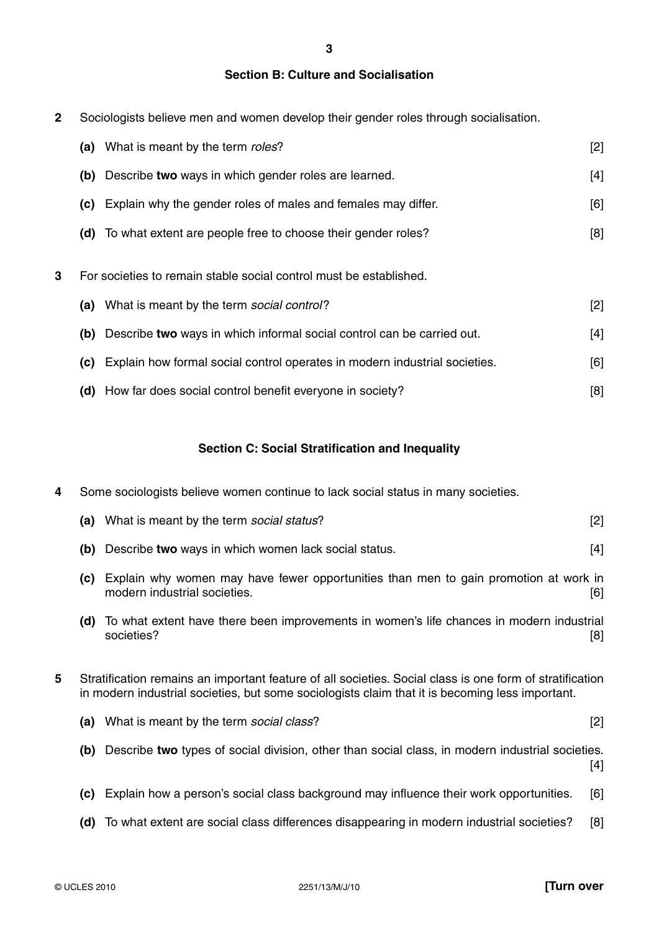**3**

# **Section B: Culture and Socialisation**

**2** Sociologists believe men and women develop their gender roles through socialisation.

|   | (a) | What is meant by the term roles?                                           | $[2]$ |
|---|-----|----------------------------------------------------------------------------|-------|
|   | (b) | Describe two ways in which gender roles are learned.                       | $[4]$ |
|   | (C) | Explain why the gender roles of males and females may differ.              | [6]   |
|   |     | (d) To what extent are people free to choose their gender roles?           | [8]   |
| 3 |     | For societies to remain stable social control must be established.         |       |
|   | (a) | What is meant by the term social control?                                  | $[2]$ |
|   | (b) | Describe two ways in which informal social control can be carried out.     | [4]   |
|   | (c) | Explain how formal social control operates in modern industrial societies. | [6]   |
|   | (d) | How far does social control benefit everyone in society?                   | [8]   |

# **Section C: Social Stratification and Inequality**

**4** Some sociologists believe women continue to lack social status in many societies.

| (a)                                                                                                                                                                                                              | What is meant by the term social status?                                                                             | $[2]$      |
|------------------------------------------------------------------------------------------------------------------------------------------------------------------------------------------------------------------|----------------------------------------------------------------------------------------------------------------------|------------|
|                                                                                                                                                                                                                  | Describe two ways in which women lack social status.                                                                 | $[4]$      |
| (c)                                                                                                                                                                                                              | Explain why women may have fewer opportunities than men to gain promotion at work in<br>modern industrial societies. | [6]        |
| (d)                                                                                                                                                                                                              | To what extent have there been improvements in women's life chances in modern industrial<br>societies?               | [8]        |
| 5<br>Stratification remains an important feature of all societies. Social class is one form of stratification<br>in modern industrial societies, but some sociologists claim that it is becoming less important. |                                                                                                                      |            |
|                                                                                                                                                                                                                  | What is meant by the term social class?                                                                              | $[2]$      |
| (b)                                                                                                                                                                                                              | Describe two types of social division, other than social class, in modern industrial societies.                      | $[4]$      |
| (c)                                                                                                                                                                                                              | Explain how a person's social class background may influence their work opportunities.                               | [6]        |
| (d)                                                                                                                                                                                                              | To what extent are social class differences disappearing in modern industrial societies?                             | [8]        |
|                                                                                                                                                                                                                  |                                                                                                                      | (b)<br>(a) |